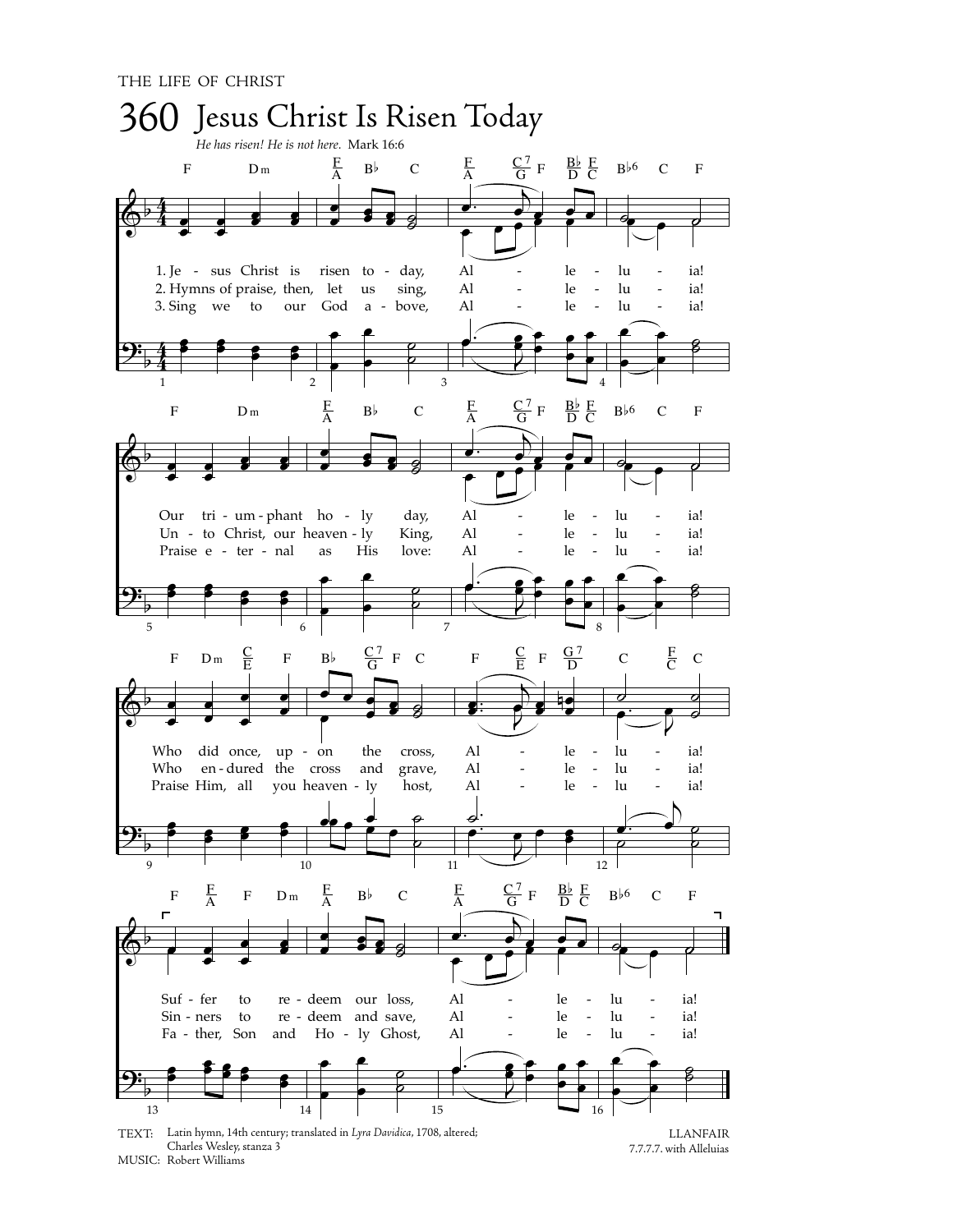

TEXT: Latin hymn, 14th century; translated in Lyra Davidica, 1708, altered; Charles Wesley, stanza 3 MUSIC: Robert Williams

**LLANFAIR** 7.7.7.7. with Alleluias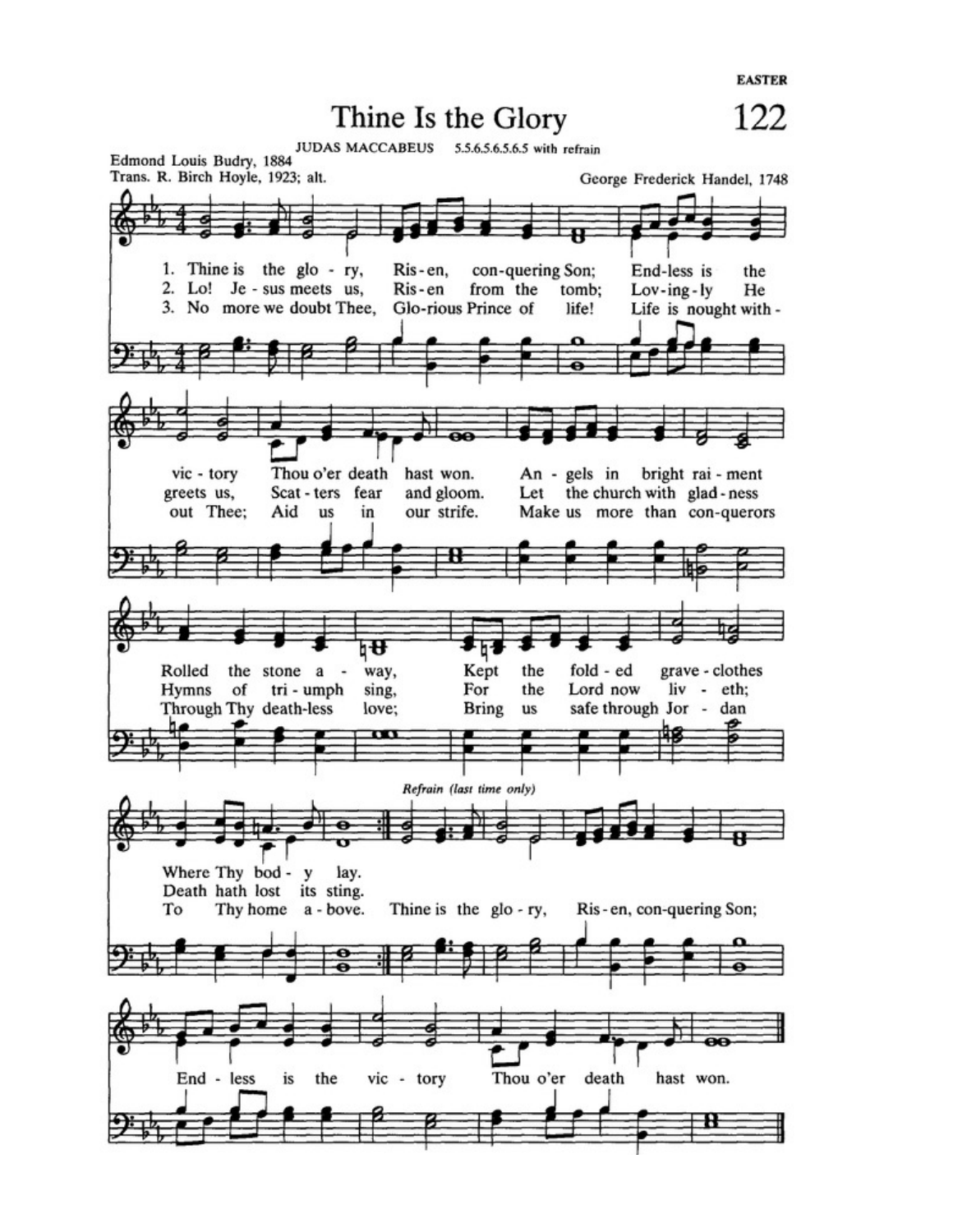**EASTER** 

Thine Is the Glory

122

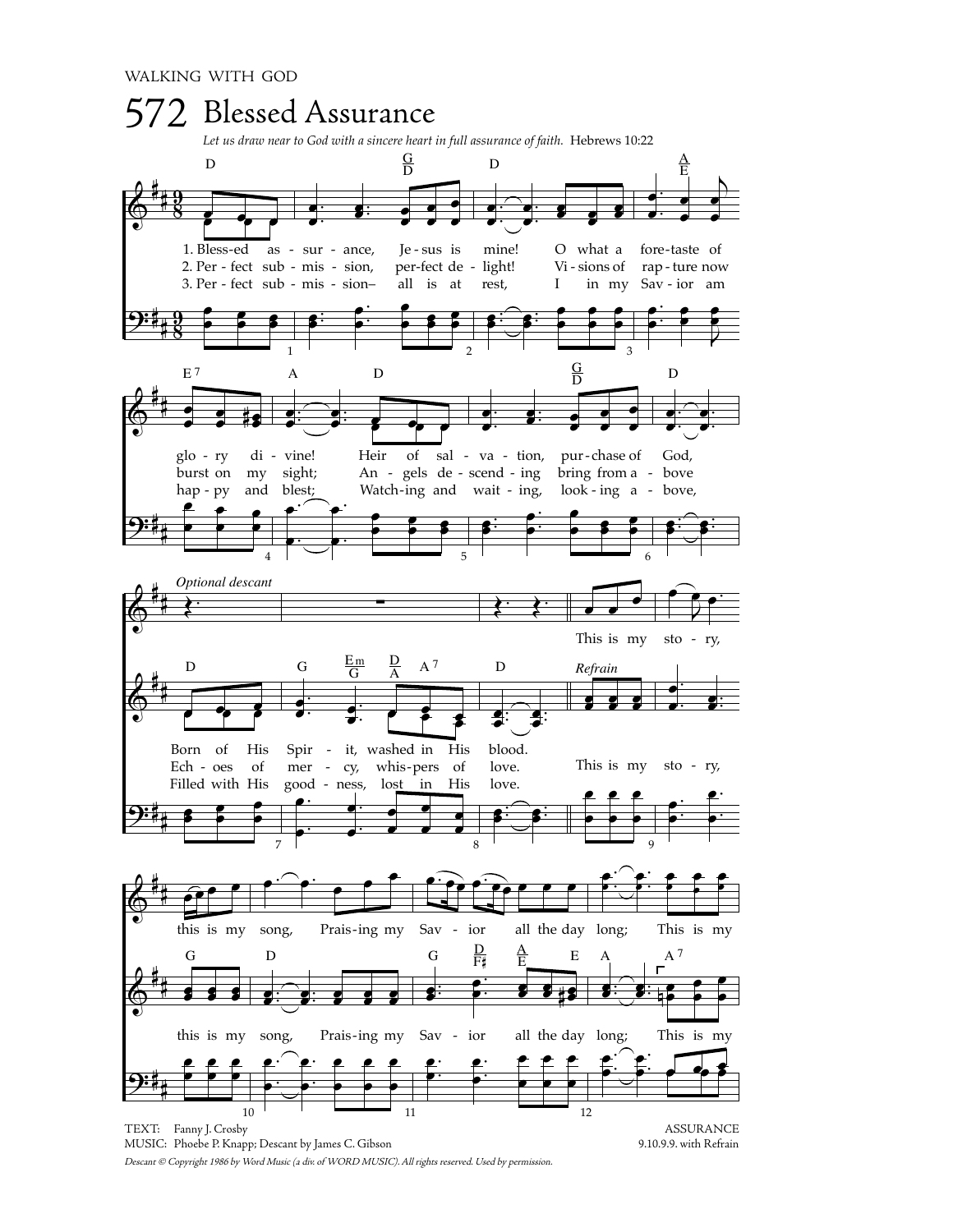

Descant © Copyright 1986 by Word Music (a div. of WORD MUSIC). All rights reserved. Used by permission.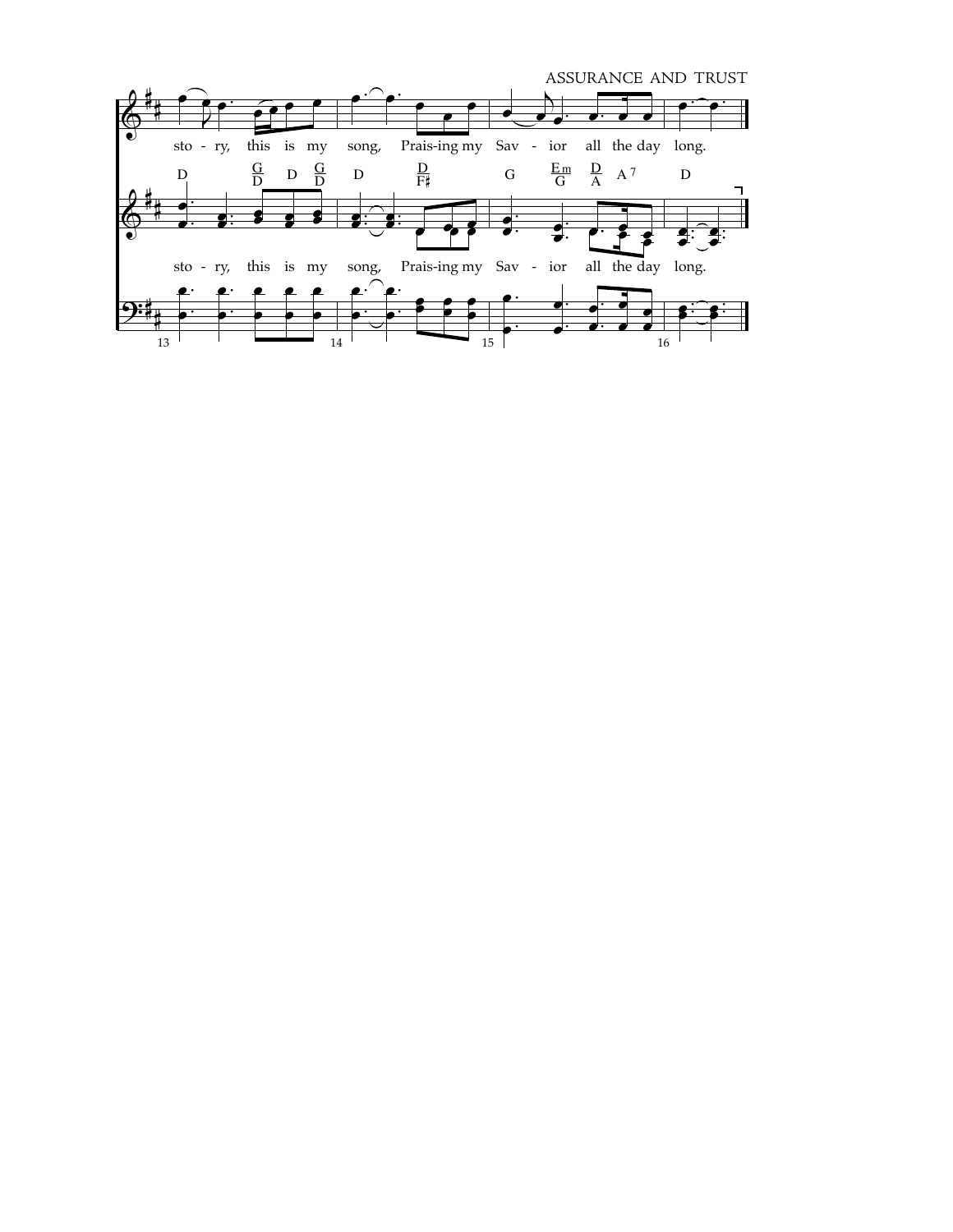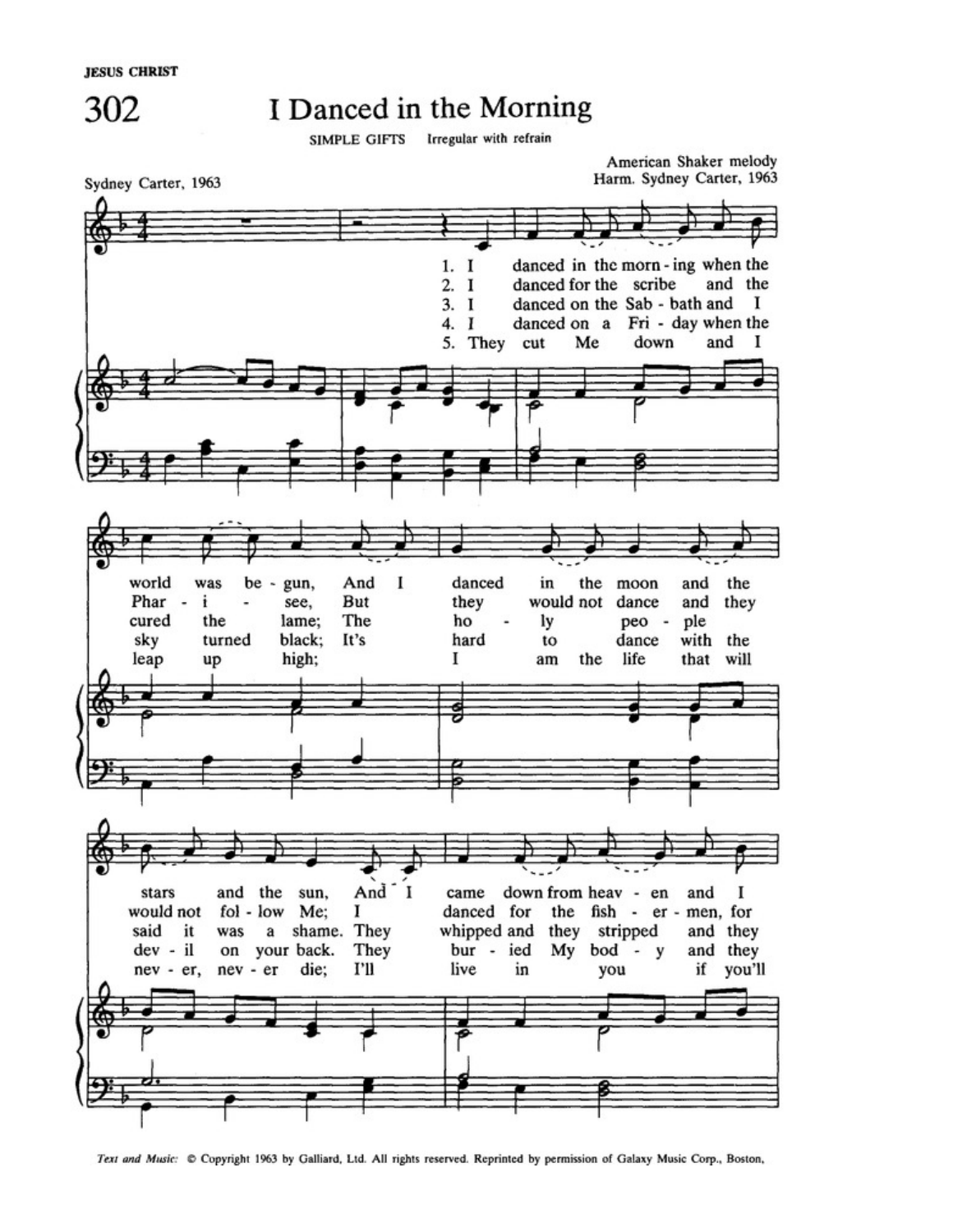**JESUS CHRIST** 



## I Danced in the Morning

SIMPLE GIFTS Irregular with refrain



American Shaker melody Harm. Sydney Carter, 1963



Text and Music: C Copyright 1963 by Galliard, Ltd. All rights reserved. Reprinted by permission of Galaxy Music Corp., Boston,